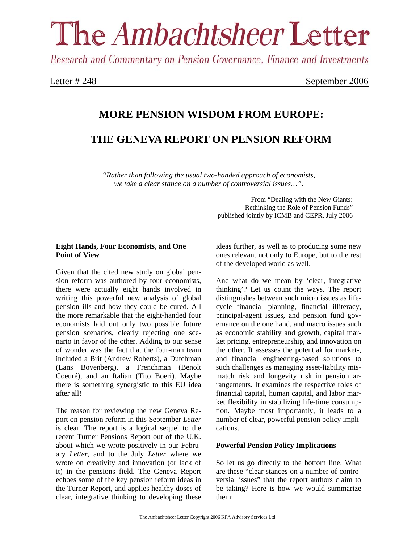# The Ambachtsheer Letter

Research and Commentary on Pension Governance, Finance and Investments

Letter # 248 September 2006

## **MORE PENSION WISDOM FROM EUROPE:**

## **THE GENEVA REPORT ON PENSION REFORM**

*"Rather than following the usual two-handed approach of economists, we take a clear stance on a number of controversial issues…".* 

> From "Dealing with the New Giants: Rethinking the Role of Pension Funds" published jointly by ICMB and CEPR, July 2006

#### **Eight Hands, Four Economists, and One Point of View**

Given that the cited new study on global pension reform was authored by four economists, there were actually eight hands involved in writing this powerful new analysis of global pension ills and how they could be cured. All the more remarkable that the eight-handed four economists laid out only two possible future pension scenarios, clearly rejecting one scenario in favor of the other. Adding to our sense of wonder was the fact that the four-man team included a Brit (Andrew Roberts), a Dutchman (Lans Bovenberg), a Frenchman (Benoît Coeuré), and an Italian (Tito Boeri). Maybe there is something synergistic to this EU idea after all!

The reason for reviewing the new Geneva Report on pension reform in this September *Letter*  is clear. The report is a logical sequel to the recent Turner Pensions Report out of the U.K. about which we wrote positively in our February *Letter,* and to the July *Letter* where we wrote on creativity and innovation (or lack of it) in the pensions field. The Geneva Report echoes some of the key pension reform ideas in the Turner Report, and applies healthy doses of clear, integrative thinking to developing these

ideas further, as well as to producing some new ones relevant not only to Europe, but to the rest of the developed world as well.

And what do we mean by 'clear, integrative thinking'? Let us count the ways. The report distinguishes between such micro issues as lifecycle financial planning, financial illiteracy, principal-agent issues, and pension fund governance on the one hand, and macro issues such as economic stability and growth, capital market pricing, entrepreneurship, and innovation on the other. It assesses the potential for market-, and financial engineering-based solutions to such challenges as managing asset-liability mismatch risk and longevity risk in pension arrangements. It examines the respective roles of financial capital, human capital, and labor market flexibility in stabilizing life-time consumption. Maybe most importantly, it leads to a number of clear, powerful pension policy implications.

#### **Powerful Pension Policy Implications**

So let us go directly to the bottom line. What are these "clear stances on a number of controversial issues" that the report authors claim to be taking? Here is how we would summarize them: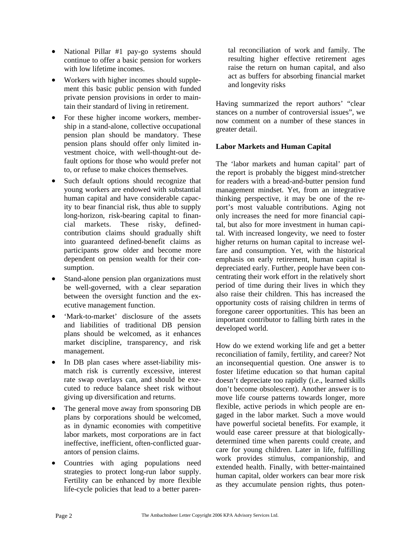- National Pillar #1 pay-go systems should continue to offer a basic pension for workers with low lifetime incomes.
- Workers with higher incomes should supplement this basic public pension with funded private pension provisions in order to maintain their standard of living in retirement.
- For these higher income workers, membership in a stand-alone, collective occupational pension plan should be mandatory. These pension plans should offer only limited investment choice, with well-thought-out default options for those who would prefer not to, or refuse to make choices themselves.
- Such default options should recognize that young workers are endowed with substantial human capital and have considerable capacity to bear financial risk, thus able to supply long-horizon, risk-bearing capital to financial markets. These risky, definedcontribution claims should gradually shift into guaranteed defined-benefit claims as participants grow older and become more dependent on pension wealth for their consumption.
- Stand-alone pension plan organizations must be well-governed, with a clear separation between the oversight function and the executive management function.
- 'Mark-to-market' disclosure of the assets and liabilities of traditional DB pension plans should be welcomed, as it enhances market discipline, transparency, and risk management.
- In DB plan cases where asset-liability mismatch risk is currently excessive, interest rate swap overlays can, and should be executed to reduce balance sheet risk without giving up diversification and returns.
- The general move away from sponsoring DB plans by corporations should be welcomed, as in dynamic economies with competitive labor markets, most corporations are in fact ineffective, inefficient, often-conflicted guarantors of pension claims.
- Countries with aging populations need strategies to protect long-run labor supply. Fertility can be enhanced by more flexible life-cycle policies that lead to a better paren-

tal reconciliation of work and family. The resulting higher effective retirement ages raise the return on human capital, and also act as buffers for absorbing financial market and longevity risks

Having summarized the report authors' "clear stances on a number of controversial issues", we now comment on a number of these stances in greater detail.

#### **Labor Markets and Human Capital**

The 'labor markets and human capital' part of the report is probably the biggest mind-stretcher for readers with a bread-and-butter pension fund management mindset. Yet, from an integrative thinking perspective, it may be one of the report's most valuable contributions. Aging not only increases the need for more financial capital, but also for more investment in human capital. With increased longevity, we need to foster higher returns on human capital to increase welfare and consumption. Yet, with the historical emphasis on early retirement, human capital is depreciated early. Further, people have been concentrating their work effort in the relatively short period of time during their lives in which they also raise their children. This has increased the opportunity costs of raising children in terms of foregone career opportunities. This has been an important contributor to falling birth rates in the developed world.

How do we extend working life and get a better reconciliation of family, fertility, and career? Not an inconsequential question. One answer is to foster lifetime education so that human capital doesn't depreciate too rapidly (i.e., learned skills don't become obsolescent). Another answer is to move life course patterns towards longer, more flexible, active periods in which people are engaged in the labor market. Such a move would have powerful societal benefits. For example, it would ease career pressure at that biologicallydetermined time when parents could create, and care for young children. Later in life, fulfilling work provides stimulus, companionship, and extended health. Finally, with better-maintained human capital, older workers can bear more risk as they accumulate pension rights, thus poten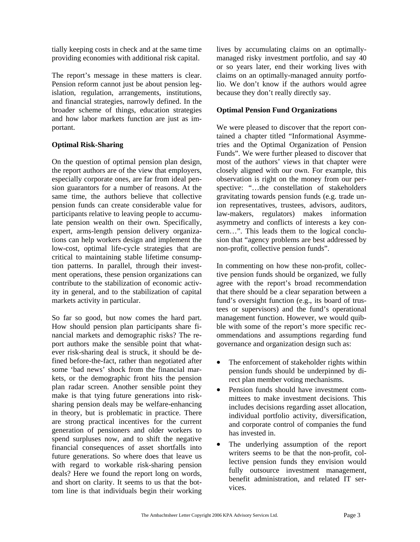tially keeping costs in check and at the same time providing economies with additional risk capital.

The report's message in these matters is clear. Pension reform cannot just be about pension legislation, regulation, arrangements, institutions, and financial strategies, narrowly defined. In the broader scheme of things, education strategies and how labor markets function are just as important.

### **Optimal Risk-Sharing**

On the question of optimal pension plan design, the report authors are of the view that employers, especially corporate ones, are far from ideal pension guarantors for a number of reasons. At the same time, the authors believe that collective pension funds can create considerable value for participants relative to leaving people to accumulate pension wealth on their own. Specifically, expert, arms-length pension delivery organizations can help workers design and implement the low-cost, optimal life-cycle strategies that are critical to maintaining stable lifetime consumption patterns. In parallel, through their investment operations, these pension organizations can contribute to the stabilization of economic activity in general, and to the stabilization of capital markets activity in particular.

So far so good, but now comes the hard part. How should pension plan participants share financial markets and demographic risks? The report authors make the sensible point that whatever risk-sharing deal is struck, it should be defined before-the-fact, rather than negotiated after some 'bad news' shock from the financial markets, or the demographic front hits the pension plan radar screen. Another sensible point they make is that tying future generations into risksharing pension deals may be welfare-enhancing in theory, but is problematic in practice. There are strong practical incentives for the current generation of pensioners and older workers to spend surpluses now, and to shift the negative financial consequences of asset shortfalls into future generations. So where does that leave us with regard to workable risk-sharing pension deals? Here we found the report long on words, and short on clarity. It seems to us that the bottom line is that individuals begin their working

lives by accumulating claims on an optimallymanaged risky investment portfolio, and say 40 or so years later, end their working lives with claims on an optimally-managed annuity portfolio. We don't know if the authors would agree because they don't really directly say.

#### **Optimal Pension Fund Organizations**

We were pleased to discover that the report contained a chapter titled "Informational Asymmetries and the Optimal Organization of Pension Funds". We were further pleased to discover that most of the authors' views in that chapter were closely aligned with our own. For example, this observation is right on the money from our perspective: "…the constellation of stakeholders gravitating towards pension funds (e.g. trade union representatives, trustees, advisors, auditors, law-makers, regulators) makes information asymmetry and conflicts of interests a key concern…". This leads them to the logical conclusion that "agency problems are best addressed by non-profit, collective pension funds".

In commenting on how these non-profit, collective pension funds should be organized, we fully agree with the report's broad recommendation that there should be a clear separation between a fund's oversight function (e.g., its board of trustees or supervisors) and the fund's operational management function. However, we would quibble with some of the report's more specific recommendations and assumptions regarding fund governance and organization design such as:

- The enforcement of stakeholder rights within pension funds should be underpinned by direct plan member voting mechanisms.
- Pension funds should have investment committees to make investment decisions. This includes decisions regarding asset allocation, individual portfolio activity, diversification, and corporate control of companies the fund has invested in.
- The underlying assumption of the report writers seems to be that the non-profit, collective pension funds they envision would fully outsource investment management, benefit administration, and related IT services.